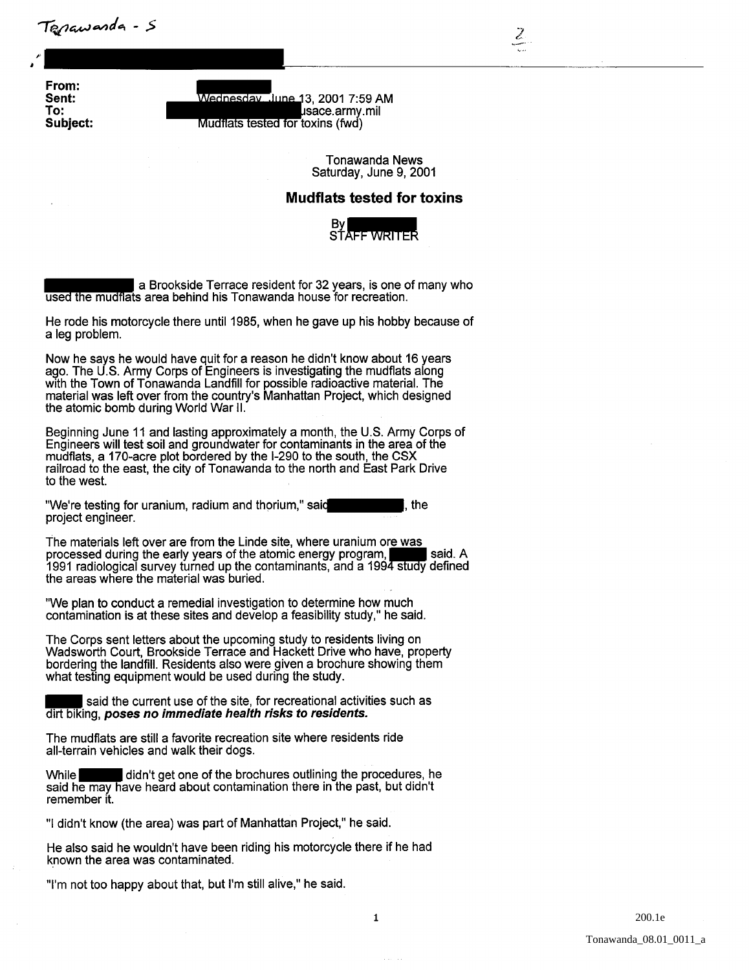Tenawarda - S

From: Sent: To: Subject:

,

*F* 

Wednesday, June 13, 2001 7:59 AM sace.army.mil Mudflats tested for toxins (fwd)

> Tonawanda News Saturday, June 9, 2001

2 "'--- .

**Mudflats tested for toxins** 



a Brookside Terrace resident for 32 years, is one of many who used the mudflats area behind his Tonawanda house for recreation.

He rode his motorcycle there until 1985, when he gave up his hobby because of a leg problem.

Now he says he would have quit for a reason he didn't know about 16 years ago. The U.S. Army Corps of Engineers is investigating the mudflats along with the Town of Tonawanda Landfill for possible radioactive material. The material was left over from the country's Manhattan Project, which designed the atomic bomb during World War II.

Beginning June 11 and lasting approximately a month, the U.S. Army Corps of Engineers will test soil and groundwater for contaminants in the area of the mudflats, a 170-acre plot bordered by the 1-290 to the south, the CSX railroad to the east, the city of Tonawanda to the north and East Park Drive to the west. material was left over from the country's Manhattan Project, white a tending born from the country's Manhattan Project, white Beginning June 11 and lasting approximately a month, the U.S. Engineers will test soil and groun

"We're testing for uranium, radium and thorium," said project engineer.

The materials left over are from the Linde site, where uranium ore was processed during the early years of the atomic energy program, said. A 1991 radiological survey turned up the contaminants, and a 1994 study defined the areas where the material was buried.

"We plan to conduct a remedial investigation to determine how much contamination is at these sites and develop a feasibility study," he said.

The Corps sent letters about the upcoming study to residents living on Wadsworth Court, Brookside Terrace and Hackett Drive who have, property bordering the landfill. Residents also were given a brochure showing them what testing equipment would be used during the study.

said the current use of the site, for recreational activities such as dirt biking, poses no immediate health risks to residents.

The mudflats are still a favorite recreation site where residents ride all-terrain vehicles and walk their dogs.

didn't get one of the brochures outlining the procedures, he said he may have heard about contamination there in the past, but didn't remember it.

"I didn't know (the area) was part of Manhattan Project," he said.

He also said he wouldn't have been riding his motorcycle there if he had known the area was contaminated.

"I'm not too happy about that, but I'm still alive," he said.